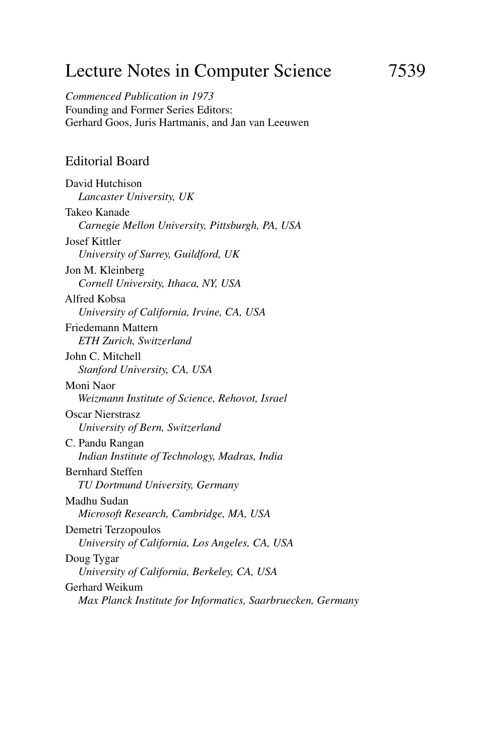# Lecture Notes in Computer Science 7539

*Commenced Publication in 1973* Founding and Former Series Editors: Gerhard Goos, Juris Hartmanis, and Jan van Leeuwen

#### Editorial Board

David Hutchison *Lancaster University, UK* Takeo Kanade *Carnegie Mellon University, Pittsburgh, PA, USA* Josef Kittler *University of Surrey, Guildford, UK* Jon M. Kleinberg *Cornell University, Ithaca, NY, USA* Alfred Kobsa *University of California, Irvine, CA, USA* Friedemann Mattern *ETH Zurich, Switzerland* John C. Mitchell *Stanford University, CA, USA* Moni Naor *Weizmann Institute of Science, Rehovot, Israel* Oscar Nierstrasz *University of Bern, Switzerland* C. Pandu Rangan *Indian Institute of Technology, Madras, India* Bernhard Steffen *TU Dortmund University, Germany* Madhu Sudan *Microsoft Research, Cambridge, MA, USA* Demetri Terzopoulos *University of California, Los Angeles, CA, USA* Doug Tygar *University of California, Berkeley, CA, USA* Gerhard Weikum *Max Planck Institute for Informatics, Saarbruecken, Germany*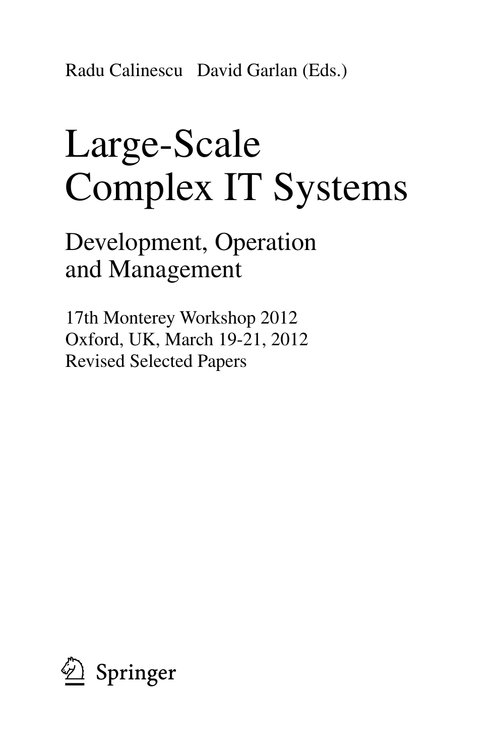Radu Calinescu David Garlan (Eds.)

# Large-Scale Complex IT Systems

Development, Operation and Management

17th Monterey Workshop 2012 Oxford, UK, March 19-21, 2012 Revised Selected Papers

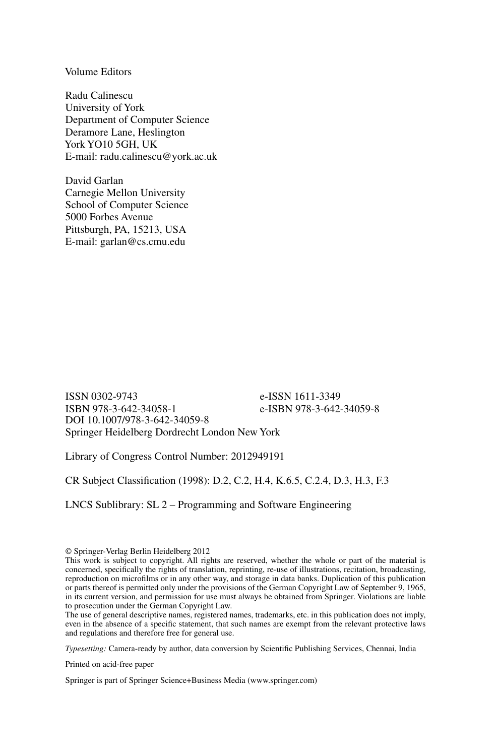Volume Editors

Radu Calinescu University of York Department of Computer Science Deramore Lane, Heslington York YO10 5GH, UK E-mail: radu.calinescu@york.ac.uk

David Garlan Carnegie Mellon University School of Computer Science 5000 Forbes Avenue Pittsburgh, PA, 15213, USA E-mail: garlan@cs.cmu.edu

ISSN 0302-9743<br>
ISBN 978-3-642-34058-1<br>
e-ISBN 978-3-642e-ISBN 978-3-642-34059-8 DOI 10.1007/978-3-642-34059-8 Springer Heidelberg Dordrecht London New York

Library of Congress Control Number: 2012949191

CR Subject Classification (1998): D.2, C.2, H.4, K.6.5, C.2.4, D.3, H.3, F.3

LNCS Sublibrary: SL 2 – Programming and Software Engineering

© Springer-Verlag Berlin Heidelberg 2012

The use of general descriptive names, registered names, trademarks, etc. in this publication does not imply, even in the absence of a specific statement, that such names are exempt from the relevant protective laws and regulations and therefore free for general use.

*Typesetting:* Camera-ready by author, data conversion by Scientific Publishing Services, Chennai, India

Printed on acid-free paper

Springer is part of Springer Science+Business Media (www.springer.com)

This work is subject to copyright. All rights are reserved, whether the whole or part of the material is concerned, specifically the rights of translation, reprinting, re-use of illustrations, recitation, broadcasting, reproduction on microfilms or in any other way, and storage in data banks. Duplication of this publication or parts thereof is permitted only under the provisions of the German Copyright Law of September 9, 1965, in its current version, and permission for use must always be obtained from Springer. Violations are liable to prosecution under the German Copyright Law.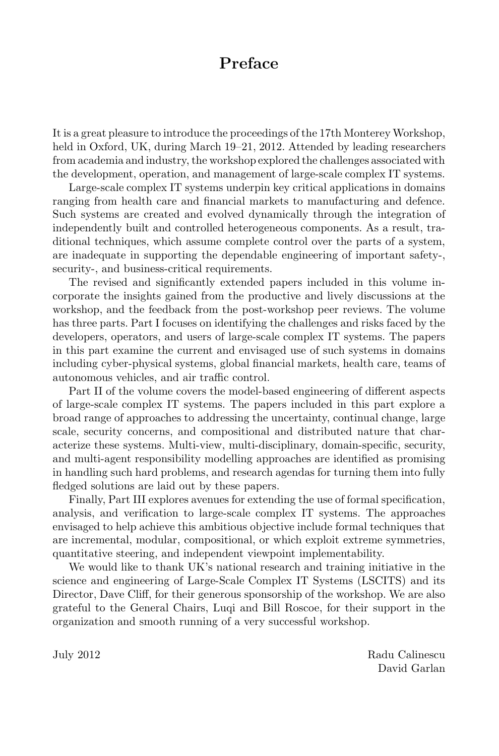## **Preface**

It is a great pleasure to introduce the proceedings of the 17th Monterey Workshop, held in Oxford, UK, during March 19–21, 2012. Attended by leading researchers from academia and industry, the workshop explored the challenges associated with the development, operation, and management of large-scale complex IT systems.

Large-scale complex IT systems underpin key critical applications in domains ranging from health care and financial markets to manufacturing and defence. Such systems are created and evolved dynamically through the integration of independently built and controlled heterogeneous components. As a result, traditional techniques, which assume complete control over the parts of a system, are inadequate in supporting the dependable engineering of important safety-, security-, and business-critical requirements.

The revised and significantly extended papers included in this volume incorporate the insights gained from the productive and lively discussions at the workshop, and the feedback from the post-workshop peer reviews. The volume has three parts. Part I focuses on identifying the challenges and risks faced by the developers, operators, and users of large-scale complex IT systems. The papers in this part examine the current and envisaged use of such systems in domains including cyber-physical systems, global financial markets, health care, teams of autonomous vehicles, and air traffic control.

Part II of the volume covers the model-based engineering of different aspects of large-scale complex IT systems. The papers included in this part explore a broad range of approaches to addressing the uncertainty, continual change, large scale, security concerns, and compositional and distributed nature that characterize these systems. Multi-view, multi-disciplinary, domain-specific, security, and multi-agent responsibility modelling approaches are identified as promising in handling such hard problems, and research agendas for turning them into fully fledged solutions are laid out by these papers.

Finally, Part III explores avenues for extending the use of formal specification, analysis, and verification to large-scale complex IT systems. The approaches envisaged to help achieve this ambitious objective include formal techniques that are incremental, modular, compositional, or which exploit extreme symmetries, quantitative steering, and independent viewpoint implementability.

We would like to thank UK's national research and training initiative in the science and engineering of Large-Scale Complex IT Systems (LSCITS) and its Director, Dave Cliff, for their generous sponsorship of the workshop. We are also grateful to the General Chairs, Luqi and Bill Roscoe, for their support in the organization and smooth running of a very successful workshop.

July 2012 Radu Calinescu David Garlan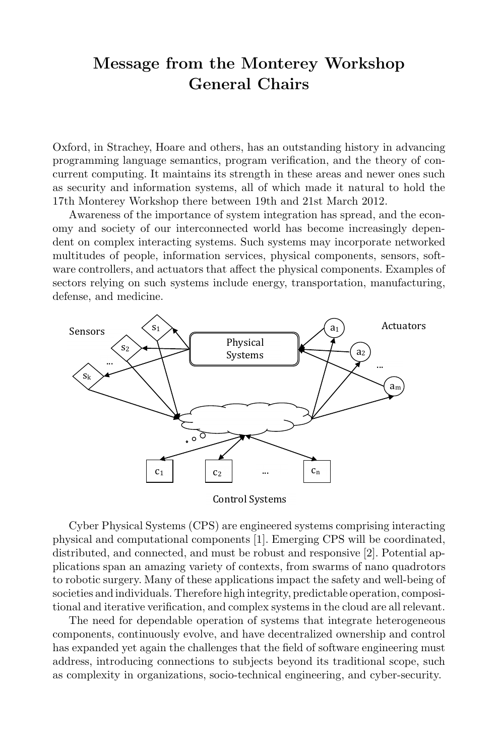## **Message from the Monterey Workshop General Chairs**

Oxford, in Strachey, Hoare and others, has an outstanding history in advancing programming language semantics, program verification, and the theory of concurrent computing. It maintains its strength in these areas and newer ones such as security and information systems, all of which made it natural to hold the 17th Monterey Workshop there between 19th and 21st March 2012.

Awareness of the importance of system integration has spread, and the economy and society of our interconnected world has become increasingly dependent on complex interacting systems. Such systems may incorporate networked multitudes of people, information services, physical components, sensors, software controllers, and actuators that affect the physical components. Examples of sectors relying on such systems include energy, transportation, manufacturing, defense, and medicine.



**Control Systems** 

Cyber Physical Systems (CPS) are engineered systems comprising interacting physical and computational components [1]. Emerging CPS will be coordinated, distributed, and connected, and must be robust and responsive [2]. Potential applications span an amazing variety of contexts, from swarms of nano quadrotors to robotic surgery. Many of these applications impact the safety and well-being of societies and individuals. Therefore high integrity, predictable operation, compositional and iterative verification, and complex systems in the cloud are all relevant.

The need for dependable operation of systems that integrate heterogeneous components, continuously evolve, and have decentralized ownership and control has expanded yet again the challenges that the field of software engineering must address, introducing connections to subjects beyond its traditional scope, such as complexity in organizations, socio-technical engineering, and cyber-security.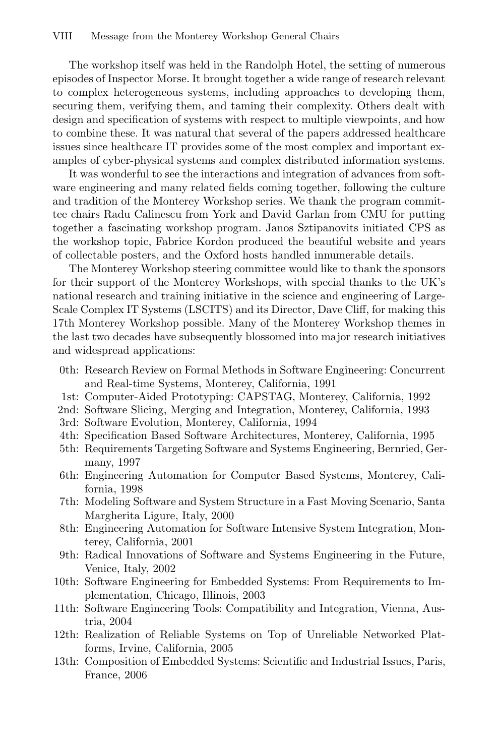The workshop itself was held in the Randolph Hotel, the setting of numerous episodes of Inspector Morse. It brought together a wide range of research relevant to complex heterogeneous systems, including approaches to developing them, securing them, verifying them, and taming their complexity. Others dealt with design and specification of systems with respect to multiple viewpoints, and how to combine these. It was natural that several of the papers addressed healthcare issues since healthcare IT provides some of the most complex and important examples of cyber-physical systems and complex distributed information systems.

It was wonderful to see the interactions and integration of advances from software engineering and many related fields coming together, following the culture and tradition of the Monterey Workshop series. We thank the program committee chairs Radu Calinescu from York and David Garlan from CMU for putting together a fascinating workshop program. Janos Sztipanovits initiated CPS as the workshop topic, Fabrice Kordon produced the beautiful website and years of collectable posters, and the Oxford hosts handled innumerable details.

The Monterey Workshop steering committee would like to thank the sponsors for their support of the Monterey Workshops, with special thanks to the UK's national research and training initiative in the science and engineering of Large-Scale Complex IT Systems (LSCITS) and its Director, Dave Cliff, for making this 17th Monterey Workshop possible. Many of the Monterey Workshop themes in the last two decades have subsequently blossomed into major research initiatives and widespread applications:

- 0th: Research Review on Formal Methods in Software Engineering: Concurrent and Real-time Systems, Monterey, California, 1991
- 1st: Computer-Aided Prototyping: CAPSTAG, Monterey, California, 1992
- 2nd: Software Slicing, Merging and Integration, Monterey, California, 1993
- 3rd: Software Evolution, Monterey, California, 1994
- 4th: Specification Based Software Architectures, Monterey, California, 1995
- 5th: Requirements Targeting Software and Systems Engineering, Bernried, Germany, 1997
- 6th: Engineering Automation for Computer Based Systems, Monterey, California, 1998
- 7th: Modeling Software and System Structure in a Fast Moving Scenario, Santa Margherita Ligure, Italy, 2000
- 8th: Engineering Automation for Software Intensive System Integration, Monterey, California, 2001
- 9th: Radical Innovations of Software and Systems Engineering in the Future, Venice, Italy, 2002
- 10th: Software Engineering for Embedded Systems: From Requirements to Implementation, Chicago, Illinois, 2003
- 11th: Software Engineering Tools: Compatibility and Integration, Vienna, Austria, 2004
- 12th: Realization of Reliable Systems on Top of Unreliable Networked Platforms, Irvine, California, 2005
- 13th: Composition of Embedded Systems: Scientific and Industrial Issues, Paris, France, 2006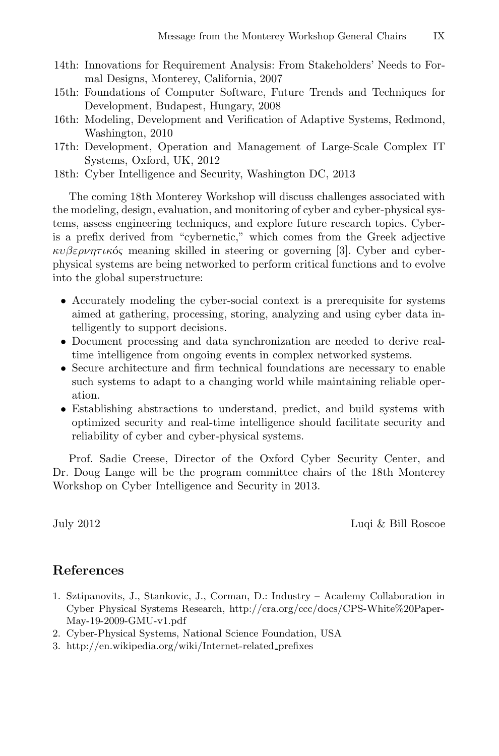- 14th: Innovations for Requirement Analysis: From Stakeholders' Needs to Formal Designs, Monterey, California, 2007
- 15th: Foundations of Computer Software, Future Trends and Techniques for Development, Budapest, Hungary, 2008
- 16th: Modeling, Development and Verification of Adaptive Systems, Redmond, Washington, 2010
- 17th: Development, Operation and Management of Large-Scale Complex IT Systems, Oxford, UK, 2012
- 18th: Cyber Intelligence and Security, Washington DC, 2013

The coming 18th Monterey Workshop will discuss challenges associated with the modeling, design, evaluation, and monitoring of cyber and cyber-physical systems, assess engineering techniques, and explore future research topics. Cyberis a prefix derived from "cybernetic," which comes from the Greek adjective  $\kappa v \beta \varepsilon \rho \nu \eta \tau \mu \kappa$  meaning skilled in steering or governing [3]. Cyber and cyberphysical systems are being networked to perform critical functions and to evolve into the global superstructure:

- Accurately modeling the cyber-social context is a prerequisite for systems aimed at gathering, processing, storing, analyzing and using cyber data intelligently to support decisions.
- *•* Document processing and data synchronization are needed to derive realtime intelligence from ongoing events in complex networked systems.
- Secure architecture and firm technical foundations are necessary to enable such systems to adapt to a changing world while maintaining reliable operation.
- *•* Establishing abstractions to understand, predict, and build systems with optimized security and real-time intelligence should facilitate security and reliability of cyber and cyber-physical systems.

Prof. Sadie Creese, Director of the Oxford Cyber Security Center, and Dr. Doug Lange will be the program committee chairs of the 18th Monterey Workshop on Cyber Intelligence and Security in 2013.

July 2012 Luqi & Bill Roscoe

### **References**

- 1. Sztipanovits, J., Stankovic, J., Corman, D.: Industry Academy Collaboration in Cyber Physical Systems Research, http://cra.org/ccc/docs/CPS-White%20Paper-May-19-2009-GMU-v1.pdf
- 2. Cyber-Physical Systems, National Science Foundation, USA
- 3. http://en.wikipedia.org/wiki/Internet-related prefixes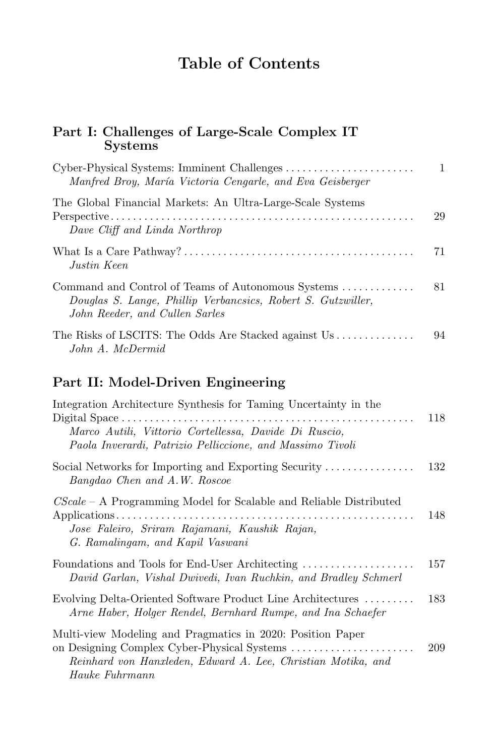## **Table of Contents**

### **Part I: Challenges of Large-Scale Complex IT Systems**

| Manfred Broy, María Victoria Cengarle, and Eva Geisberger                                                                                            | 1  |
|------------------------------------------------------------------------------------------------------------------------------------------------------|----|
| The Global Financial Markets: An Ultra-Large-Scale Systems<br>Dave Cliff and Linda Northrop                                                          | 29 |
| Justin Keen                                                                                                                                          | 71 |
| Command and Control of Teams of Autonomous Systems<br>Douglas S. Lange, Phillip Verbancsics, Robert S. Gutzwiller,<br>John Reeder, and Cullen Sarles | 81 |
| The Risks of LSCITS: The Odds Are Stacked against Us<br>John A. McDermid                                                                             | 94 |

## **Part II: Model-Driven Engineering**

| Integration Architecture Synthesis for Taming Uncertainty in the                                                                                          | 118 |
|-----------------------------------------------------------------------------------------------------------------------------------------------------------|-----|
| Marco Autili, Vittorio Cortellessa, Davide Di Ruscio,<br>Paola Inverardi, Patrizio Pelliccione, and Massimo Tivoli                                        |     |
| Social Networks for Importing and Exporting Security $\dots \dots \dots \dots$<br>Bangdao Chen and A.W. Roscoe                                            | 132 |
| $CScale - A$ Programming Model for Scalable and Reliable Distributed<br>Jose Faleiro, Sriram Rajamani, Kaushik Rajan,<br>G. Ramalingam, and Kapil Vaswani | 148 |
| Foundations and Tools for End-User Architecting<br>David Garlan, Vishal Dwivedi, Ivan Ruchkin, and Bradley Schmerl                                        | 157 |
| Evolving Delta-Oriented Software Product Line Architectures<br>Arne Haber, Holger Rendel, Bernhard Rumpe, and Ina Schaefer                                | 183 |
| Multi-view Modeling and Pragmatics in 2020: Position Paper<br>Reinhard von Hanxleden, Edward A. Lee, Christian Motika, and<br>Hauke Fuhrmann              | 209 |